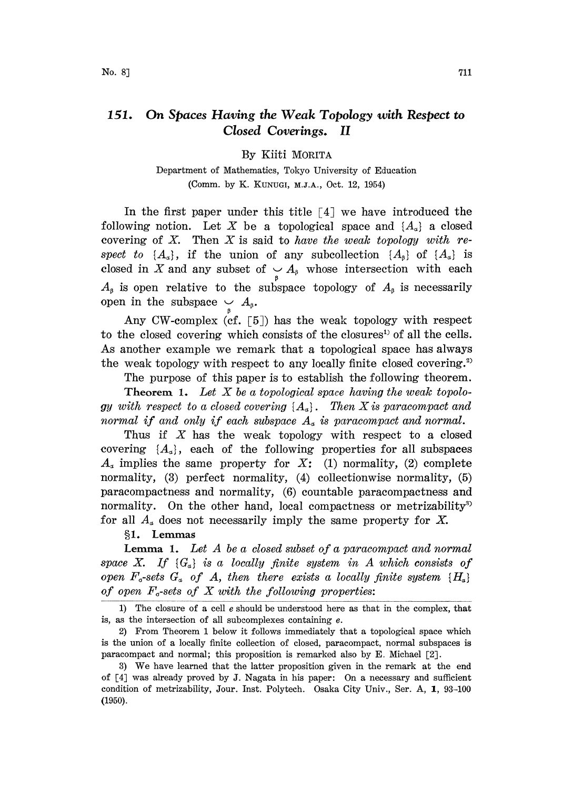## 151. On Spaces Having the Weak Topology with Respect to Closed Coverings. II

By Kiiti MORITA

Department of Mathematics, Tokyo University of Education (Comm. by K. KUNUGI, M.J.A., Oct. 12, 1954)

In the first paper under this title  $\lceil 4 \rceil$  we have introduced the following notion. Let X be a topological space and  $\{A_{\alpha}\}\$ a closed covering of X. Then X is said to have the weak topology with respect to  $\{A_{\alpha}\}\text{, if the union of any subcollection }\{A_{\beta}\}\text{ of }\{A_{\alpha}\}\text{ is}$ closed in X and any subset of  $\bigvee_{\beta} A_{\beta}$  whose intersection with each  $A_{\beta}$  is open relative to the subspace topology of  $A_{\beta}$  is necessarily open in the subspace  $\smile A_{\scriptscriptstyle\beta}$ .

Any CW-complex (cf. [5) has the weak topology with respect to the closed covering which consists of the closures<sup>1</sup> of all the cells. As another example we remark that a topological space has always the weak topology with respect to any locally finite closed covering.<sup>2)</sup>

The purpose of this paper is to establish the following theorem.

**Theorem 1.** Let  $X$  be a topological space having the weak topology with respect to a closed covering  $\{A_{a}\}\$ . Then X is paracompact and normal if and only if each subspace  $A_{\alpha}$  is paracompact and normal.

Thus if  $X$  has the weak topology with respect to a closed covering  $\{A_{\alpha}\}\text{, each of the following properties for all subspaces}$  $A<sub>a</sub>$  implies the same property for X: (1) normality, (2) complete normality, (3) perfect normality, (4) collectionwise normality, (5) paracompactness and normality, (6) countable paracompactness and normality. On the other hand, local compactness or metrizability<sup>33</sup> for all  $A_{\alpha}$  does not necessarily imply the same property for X.

## 1. Lemmas

**Lemma 1.** Let  $A$  be a closed subset of a paracompact and normal space X. If  $\{G_{\alpha}\}\$ is a locally finite system in A which consists of open  $F_{\sigma}$ -sets  $G_{\sigma}$  of A, then there exists a locally finite system  $\{H_{\sigma}\}$ of open  $F_{\sigma}$ -sets of X with the following properties:

1) The closure of a cell  $e$  should be understood here as that in the complex, that is, as the intersection of all subcomplexes containing e.

2) From Theorem <sup>1</sup> below it follows immediately that a topological space which is the union of a locally finite collection of closed, paracompact, normal subspaces is paracompact and normal; this proposition is remarked also by E. Michael [2].

3) We have learned that the latter proposition given in the remark at the end of [4] was already proved by J. Nagata in his paper: On a nezessary and sufficient condition of metrizability, Jour. Inst. Polytech. Osaka City Univ., Ser. A, 1, 93-100 (1950).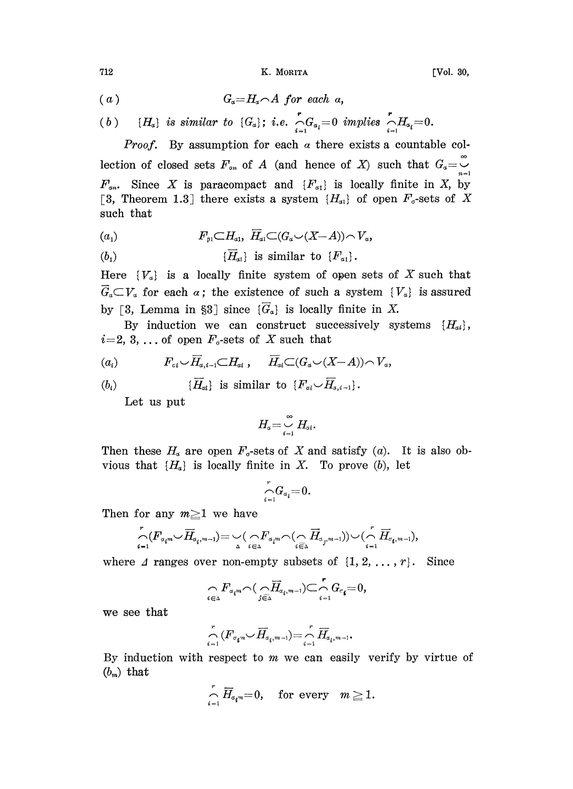712 K. MORITA [Vol. 30,

$$
(a) \t G_a = H_a \cap A \tfor each \t a,
$$

(b) 
$$
\{H_a\}
$$
 is similar to  $\{G_a\}$ ; i.e.  $\bigcap_{i=1}^r G_{a_i} = 0$  implies  $\bigcap_{i=1}^r H_{a_i} = 0$ .

*Proof.* By assumption for each  $\alpha$  there exists a countable collection of closed sets  $F_{\alpha n}$  of A (and hence of X) such that  $G_{\alpha} = \overline{G_{\alpha}}$  $F_{\alpha n}$ . Since X is paracompact and  $\{F_{\alpha 1}\}\$ is locally finite in X, by [3, Theorem 1.3] there exists a system  $\{H_{\alpha 1}\}\$  of open  $F_{\sigma}$ -sets of X such that

$$
(a_1) \tF_{\beta 1} \subset H_{a1}, \ \overline{H}_{a1} \subset (G_a \cup (X-A)) \cap V_a,
$$

$$
(b_1) \qquad \qquad {\overline{H}}_{a1} \text{ is similar to } {F}_{a1}.
$$

Here  $\{V_a\}$  is a locally finite system of open sets of X such that  $\overline{G}_a \subset V_a$  for each  $\alpha$ ; the existence of such a system  $\{V_a\}$  is assured by [3, Lemma in §3] since  $\{\overline{G}_\alpha\}$  is locally finite in X.

By induction we can construct successively systems  $\{H_{ai}\},\$  $i=2, 3, \ldots$  of open  $F_{\sigma}$ -sets of X such that

$$
(a_i) \t\t F_{\alpha i} \cup \overline{H}_{\alpha, i-1} \subset H_{\alpha i} , \quad \overline{H}_{\alpha i} \subset (G_{\alpha} \cup (X-A)) \cap V_{\alpha},
$$

 $(b_i)$   $\{\overline{H}_{at}\}\$ is similar to  $\{F_{ai} \setminus \overline{H}_{a,i-1}\}.$ 

Let us put

$$
H_a\mathbin{\stackrel{\infty}{=}} \bigcup_{i=1}^\infty H_{ai}.
$$

Then these  $H_a$  are open  $F_a$ -sets of X and satisfy (a). It is also obvious that  $\{H_a\}$  is locally finite in X. To prove (b), let

$$
{\displaystyle\bigcap_{i=1}^{r}}{G_{a}}_{i}{=}0.
$$

Then for any  $m \geq 1$  we have

$$
\bigcap_{\mathclap{\substack{i=1}}^r(F_{\sigma_i^{m}}\cup \overline{H}_{\sigma_i^{m-1}})=\bigcup_{\Delta}(\bigcap_{i\in \Delta}F_{\sigma_i^{m}}\cap (\bigcap_{i\in \Delta} \overline{H}_{\sigma_j^{m-1}}))\cup (\bigcap_{i=1}^r\overline{H}_{\sigma_i^{m-1}}),
$$

where  $\Delta$  ranges over non-empty subsets of  $\{1, 2, \ldots, r\}$ . Since

$$
\underset{i\in\Delta}{\curvearrowright}F_{a_im}\!\!\smallfrown\!\big(\underset{j\in\Delta}{\curvearrowright} \overrightarrow{H}_{a_i,m-1})\!\!\subset\!\underset{i=1}{\overset{r}{\curvearrowleft}}G_{c_i}\!\!=\!0,
$$

we see that

$$
\bigcap_{i=1}^r \, (F_{\sigma_i m} \smile \overline{H}_{a_i,{m-1}}) \! = \! \bigcap_{i=1}^r \overline{H}_{a_i,{m-1}}.
$$

By induction with respect to  $m$  we can easily verify by virtue of  $(b_m)$  that

$$
\bigcap_{i=1}^r \overline{H}_{a_i^m}=0, \quad \text{for every} \quad m\geq 1.
$$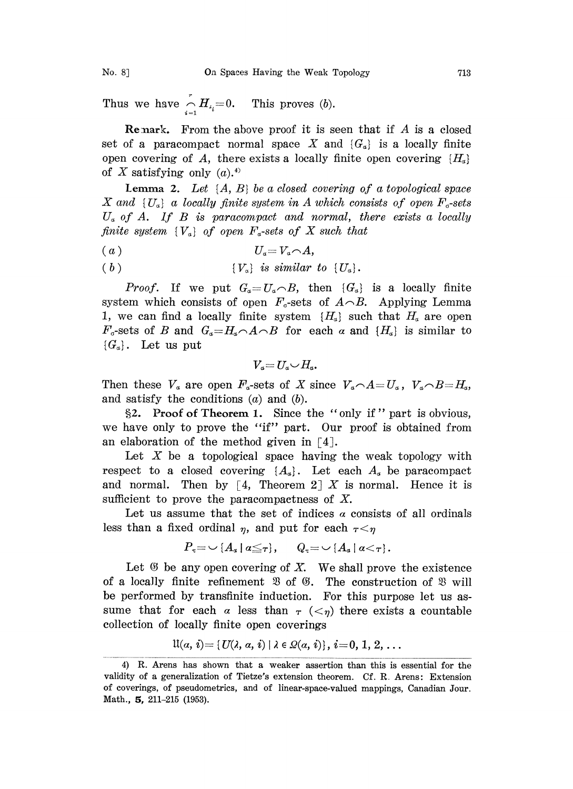Thus we have  $\bigcap_{i=1}^n H_{\lambda_i}=0$ . This proves (b).

**Remark.** From the above proof it is seen that if  $A$  is a closed set of a paracompact normal space X and  $\{G_{\alpha}\}\$ is a locally finite open covering of A, there exists a locally finite open covering  $\{H_a\}$ of X satisfying only  $(a)$ .<sup>4)</sup>

**Lemma 2.** Let  $\{A, B\}$  be a closed covering of a topological space X and  $\{U_a\}$  a locally finite system in A which consists of open  $F_c$ -sets  $U_a$  of A. If B is paracompact and normal, there exists a locally finite system  ${V<sub>a</sub>}$  of open  $F<sub>a</sub>$ -sets of X such that

$$
(a) \t\t U_a = V_a \cap A,
$$

(b)  ${V_\alpha}$  is similar to  ${U_\alpha}$ .

*Proof.* If we put  $G_a=U_a\cap B$ , then  $\{G_a\}$  is a locally finite system which consists of open  $F<sub>o</sub>$ -sets of  $A\cap B$ . Applying Lemma 1, we can find a locally finite system  $\{H_a\}$  such that  $H_a$  are open  $F_{\sigma}$ -sets of B and  $G_{\sigma}=H_{\sigma}\wedge A\wedge B$  for each  $\alpha$  and  $\{H_{\sigma}\}\$ is similar to  $\{G_a\}.$  Let us put

$$
V_a = U_a \cup H_a.
$$

Then these  $V_a$  are open  $F_a$ -sets of X since  $V_a \cap A = U_a$ ,  $V_a \cap B = H_a$ , and satisfy the conditions  $(a)$  and  $(b)$ .

2. Proof of Theorem 1. Since the "only if" part is obvious, we have only to prove the "if" part. Our proof is obtained from an elaboration of the method given in  $\lceil 4 \rceil$ .

Let  $X$  be a topological space having the weak topology with respect to a closed covering  $\{A_{\alpha}\}\$ . Let each  $A_{\alpha}$  be paracompact and normal. Then by [4, Theorem 2] X is normal. Hence it is sufficient to prove the paracompactness of X.

Let us assume that the set of indices  $\alpha$  consists of all ordinals less than a fixed ordinal  $\eta$ , and put for each  $\tau < \eta$ 

$$
P_{\tau} = \cup \{A_{\alpha} \mid a \leq \tau\}, \qquad Q_{\tau} = \cup \{A_{\alpha} \mid a < \tau\}.
$$

Let  $\mathfrak G$  be any open covering of X. We shall prove the existence of a locally finite refinement  $\mathfrak{B}$  of  $\mathfrak{G}$ . The construction of  $\mathfrak{B}$  will be performed by transfinite induction. For this purpose let us assume that for each  $\alpha$  less than  $\tau$  ( $\lt_{\eta}$ ) there exists a countable collection of locally finite open coverings

$$
\mathfrak{U}(a,\,i)\!=\!\{ \mathit{U}(\lambda,\,a,\,i)\ |\ \lambda\in\mathit{Q}(a,\,i)\},\,i\!=\!0,\,1,\,2,\,\ldots
$$

<sup>4)</sup> R. Arens has shown that a weaker assertion than this is essential for the validity of a generalization of Tietze's extension theorem. Cf. R. Arens: Extension of coverings, of pseudometrics, and of linear-space-valued mappings, Canadian Jour. Math., 5, 211-215 (1953).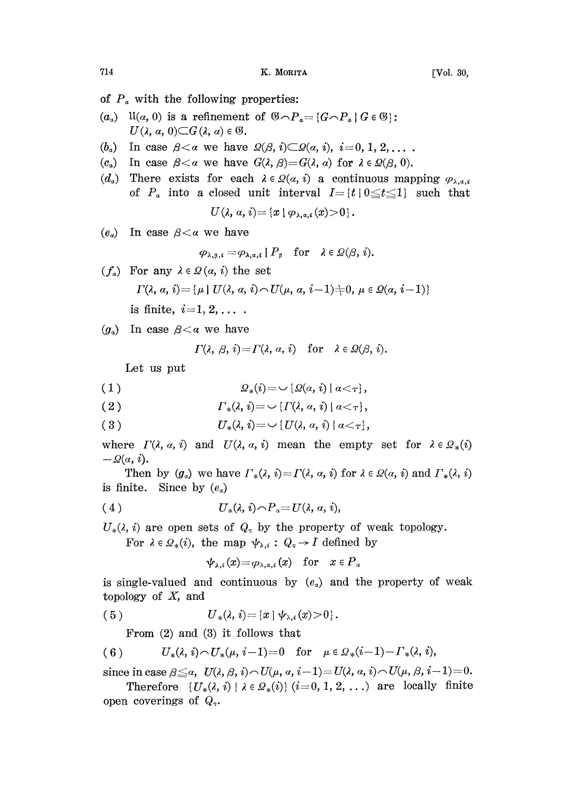- of  $P_{\alpha}$  with the following properties:
- $(a_{\alpha})$   $\mathfrak{U}(\alpha, 0)$  is a refinement of  $\mathfrak{G} \cap P_{\alpha} = \{G \cap P_{\alpha} \mid G \in \mathfrak{G}\}\$ :  $U(\lambda, \alpha, 0) \subset G(\lambda, \alpha) \in \mathfrak{G}.$
- $(b_4)$  In case  $\beta < a$  we have  $\Omega(\beta, i) \subset \Omega(a, i), i=0, 1, 2, \ldots$
- (c<sub>a</sub>) In case  $\beta < \alpha$  we have  $G(\lambda, \beta) = G(\lambda, \alpha)$  for  $\lambda \in \mathcal{Q}(\beta, 0)$ .
- $(d_a)$  There exists for each  $\lambda \in \Omega(a, i)$  a continuous mapping  $\varphi_{\lambda, a, i}$ of  $P_a$  into a closed unit interval  $I = \{t | 0 \le t \le 1\}$  such that

$$
U(\lambda, \alpha, i) = \{x \mid \varphi_{\lambda, \alpha, i}(x) > 0\}.
$$

 $(e_{\alpha})$  In case  $\beta < \alpha$  we have

$$
\varphi_{\lambda,\beta,i} = \varphi_{\lambda,a,i} \mid P_{\beta} \quad \text{for} \quad \lambda \in \Omega(\beta,i).
$$

 $(f_a)$  For any  $\lambda \in \Omega$   $(\alpha, i)$  the set

$$
\Gamma(\lambda,\, \alpha, \, i) \!=\! \{\mu \mid U(\lambda,\, \alpha, \, i) \! \frown \! U(\mu,\, \alpha, \, i \!-\!1) \! \neq \! 0, \, \mu \in \mathit{Q}(\alpha,\, i \!-\!1)\}
$$

is finite,  $i=1, 2, \ldots$ .

 $(g_a)$  In case  $\beta < \alpha$  we have

$$
\Gamma(\lambda, \beta, i) = \Gamma(\lambda, \alpha, i)
$$
 for  $\lambda \in \Omega(\beta, i)$ .

Let us put

( <sup>1</sup> ) t2,(i) [2(a, i) la <-},

( 2 )  $\Gamma_*(\lambda, i) = \bigcup \{ \Gamma(\lambda, \alpha, i) \mid \alpha < \tau \},$ 

(3)  $U_*(\lambda, i) = \cup \{U(\lambda, a, i) | a < \tau\},$ 

where  $\Gamma(\lambda, \alpha, i)$  and  $U(\lambda, \alpha, i)$  mean the empty set for  $\lambda \in \Omega_*(i)$  $-\Omega(a, i).$ 

Then by  $(g_a)$  we have  $\Gamma_*(\lambda, i) = \Gamma(\lambda, \alpha, i)$  for  $\lambda \in \Omega(\alpha, i)$  and  $\Gamma_*(\lambda, i)$ is finite. Since by  $(e_{\alpha})$ 

(4) 
$$
U_*(\lambda, i) \cap P_a = U(\lambda, a, i),
$$

 $U_*(\lambda, i)$  are open sets of  $Q_{\tau}$  by the property of weak topology.

For  $\lambda \in \mathcal{Q}_{*}(i)$ , the map  $\psi_{\lambda,i}: Q_{\tau} \to I$  defined by

 $\psi_{\lambda,i}(x) = \varphi_{\lambda,a,i}(x)$  for  $x \in P_a$ 

is single-valued and continuous by  $(e_a)$  and the property of weak topology of  $X$ , and

(5) 
$$
U_*(\lambda, i) = \{x \mid \psi_{\lambda, i}(x) > 0\}.
$$

From  $(2)$  and  $(3)$  it follows that

(6) 
$$
U_*(\lambda, i) \cap U_*(\mu, i-1) = 0
$$
 for  $\mu \in \Omega_*(i-1) - \Gamma_*(\lambda, i)$ ,

since in case  $\beta \leq \alpha$ ,  $U(\lambda, \beta, i) \sim U(\mu, \alpha, i-1) = U(\lambda, \alpha, i) \sim U(\mu, \beta, i-1) = 0.$ 

Therefore  $\{U_*(\lambda, i) \mid \lambda \in \Omega_*(i)\}$   $(i=0, 1, 2, ...)$  are locally finite open coverings of  $Q_{\tau}$ .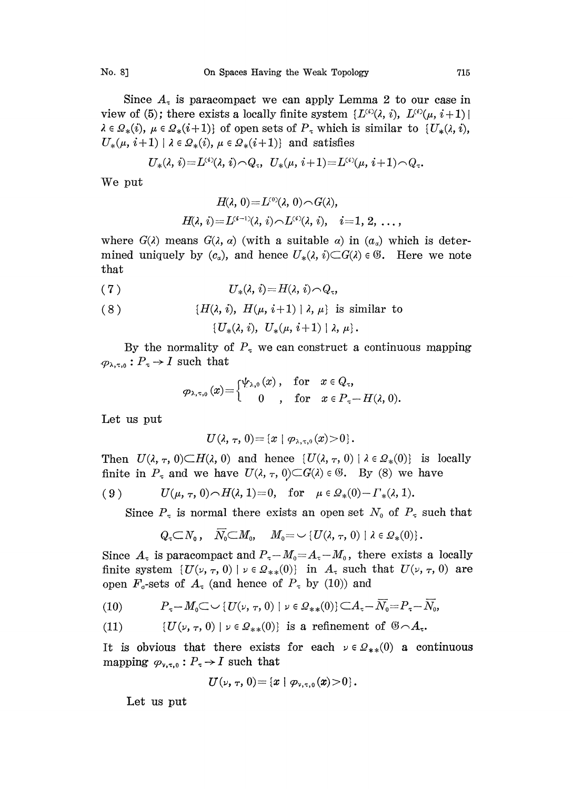Since  $A<sub>z</sub>$  is paracompact we can apply Lemma 2 to our case in view of (5); there exists a locally finite system  $\{L^{(i)}(\lambda, i), L^{(i)}(\mu, i+1)\}\$  $\lambda \in \Omega_*(i)$ ,  $\mu \in \Omega_*(i+1)$  of open sets of  $P_\tau$  which is similar to  $\{U_*(\lambda, i),\}$  $U_*(\mu, i+1) \mid \lambda \in \Omega_*(i), \mu \in \Omega_*(i+1)$  and satisfies

U.(, i)--L(\*(, i),,",Q, U.(,, i+ 1)--LC(/, i+ i)e.

We put

$$
H(\lambda, 0) = L^{(0)}(\lambda, 0) \cap G(\lambda),
$$
  

$$
H(\lambda, i) = L^{(i-1)}(\lambda, i) \cap L^{(i)}(\lambda, i), \quad i = 1, 2, \ldots,
$$

where  $G(\lambda)$  means  $G(\lambda, \alpha)$  (with a suitable  $\alpha$ ) in  $(\alpha_{\alpha})$  which is determined uniquely by  $(c_{\alpha})$ , and hence  $U_{*}(\lambda, i) \subset G(\lambda) \in \mathfrak{G}$ . Here we note hat

$$
(7) \tU_*(\lambda, i)=H(\lambda, i)\cap Q_\tau,
$$

(8) 
$$
\{H(\lambda, i), H(\mu, i+1) | \lambda, \mu\} \text{ is similar to}
$$

$$
\{U_*(\lambda, i), U_*(\mu, i+1) | \lambda, \mu\}.
$$

By the normality of  $P<sub>\tau</sub>$  we can construct a continuous mapping  $\varphi_{\lambda,\tau,0}: P_{\tau} \to I$  such that

$$
\varphi_{\lambda,\tau,0}\left(x\right)\!\!=\!\!\begin{cases}\!\psi_{\lambda,0}\left(x\right),&\text{for}\quad x\in Q_\tau,\\qquad \qquad 0\qquad,\quad \text{for}\quad x\in P_\tau\!\!-\!H(\lambda,0).\end{cases}
$$

Let us put

$$
U(\lambda, \tau, 0) = \{x \mid \varphi_{\lambda, \tau, 0}(x) > 0\}.
$$

Then  $U(\lambda, \tau, 0) \subset H(\lambda, 0)$  and hence  $\{U(\lambda, \tau, 0) \mid \lambda \in \Omega_*(0)\}$  is locally finite in  $P_\tau$  and we have  $U(\lambda, \tau, 0) \subset G(\lambda) \in \mathcal{C}$ . By (8) we have

(9) 
$$
U(\mu, \tau, 0) \cap H(\lambda, 1) = 0
$$
, for  $\mu \in \Omega_*(0) - \Gamma_*(\lambda, 1)$ .

Since  $P<sub>\tau</sub>$  is normal there exists an open set  $N<sub>o</sub>$  of  $P<sub>\tau</sub>$  such that

$$
Q_{\tau} \subset N_0\,, \quad \overline{N_0} \subset M_0, \quad M_0 = \smile \{U(\lambda, \, \tau, \, 0) \mid \lambda \in \mathcal{Q}_*(0)\}\,.
$$

Since  $A_{\tau}$  is paracompact and  $P_{\tau}-M_0=A_{\tau}-M_0$ , there exists a locally finite system  $\{U(\nu, \tau, 0) \mid \nu \in \Omega_{**}(0)\}$  in  $A_{\tau}$  such that  $U(\nu, \tau, 0)$  are open  $F_{\sigma}$ -sets of  $A_{\tau}$  (and hence of  $P_{\tau}$  by (10)) and

(10) 
$$
P_{\tau} - M_0 \subset \cup \{U(\nu, \tau, 0) \mid \nu \in \Omega_{**}(0)\} \subset A_{\tau} - \overline{N}_0 = P_{\tau} - \overline{N}_0,
$$

(11)  $\{U(\nu, \tau, 0) \mid \nu \in \Omega_{**}(0)\}$  is a refinement of  $\mathcal{B} \cap A_{\tau}$ .

It is obvious that there exists for each  $\nu \in \Omega_{**}(0)$  a continuous mapping  $\varphi_{\nu,\tau,0}: P_{\tau} \to I$  such that

$$
U(\nu, \tau, 0) = \{x \mid \varphi_{\nu, \tau, 0}(x) > 0\}.
$$

Let us put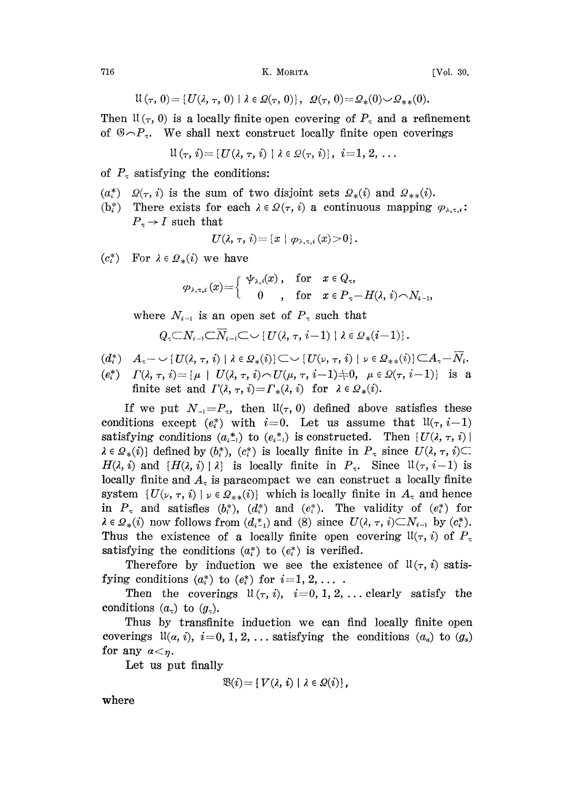716 K. MORITA

$$
[Vol. 30,
$$

$$
\mathfrak{U}\left(\tau,\,0\right)=\{U(\lambda,\,\tau,\,0)\ |\ \lambda\in\mathcal{Q}(\tau,\,0)\},\ \ \mathcal{Q}(\tau,\,0)\!=\!\mathcal{Q}_{*}(0)\!\smile\!\mathcal{Q}_{**}(0).
$$

Then  $\mathfrak{U}(\tau, 0)$  is a locally finite open covering of  $P_{\tau}$  and a refinement of  $\mathcal{B} \cap P_{\tau}$ . We shall next construct locally finite open coverings

$$
\mathfrak{U}\left(\tau,\,i\right)\!=\!\left\{U(\lambda,\,\tau,\,i)\;|\;\lambda\in\mathfrak{Q}(\tau,\,i)\right\},\,\,i\!=\!1,\,2,\,\ldots
$$

of  $P<sub>x</sub>$  satisfying the conditions:

- $(a_i^*)$   $\mathcal{Q}(\tau, i)$  is the sum of two disjoint sets  $\mathcal{Q}_*(i)$  and  $\mathcal{Q}_{**}(i)$ .
- $(b_i^*)$ There exists for each  $\lambda \in \Omega(\tau, i)$  a continuous mapping  $\varphi_{\lambda, \tau, i}$ :  $P_{\tau} \rightarrow I$  such that  $U(\tau)$

$$
U(\lambda, \tau, i) = \{x \mid \varphi_{\lambda, \tau, i}(x) > 0\}.
$$

 $(c_i^*)$ For  $\lambda \in \mathcal{Q}_*(i)$  we have

$$
\varphi_{\scriptscriptstyle \lambda,\,\tau,\,i} \left( x \right) {=} \left\{ \begin{array}{ccc} \psi_{\scriptscriptstyle \lambda,i} (x) \ , & {\rm for} & x \in Q_{\tau} , \\ 0 \ , & {\rm for} & x \in P_{\tau} {-} \, H(\lambda,\, i) {\,\smallfrown\,} N_{i-1} , \end{array} \right.
$$

where  $N_{i-1}$  is an open set of  $P_{\tau}$  such that

$$
Q_{\tau} {\subset} N_{i-1} {\subset} \overline{N}_{i-1} {\subset} {\sim} \{U(\lambda, \tau, i-1) \mid \lambda \in \mathcal{Q}_{*}(i-1)\}.
$$

$$
(d_i^*) \quad A_{\tau} \hspace{-0.5ex} \sim \hspace{-0.5ex} - \cup \{U(\lambda, \, \tau, \, i) \mid \lambda \in \Omega_*(i)\} \hspace{-0.5ex} \subset \hspace{-0.5ex} \sim \hspace{-0.5ex} \{U(\nu, \, \tau, \, i) \mid \nu \in \Omega_{**}(i)\} \hspace{-0.5ex} \subset \hspace{-0.5ex} A_{\tau} \hspace{-0.5ex} - \hspace{-0.5ex} \overline{N_i}
$$

 $F(e_i^*)$   $\Gamma(\lambda, \tau, i) = {\mu \mid U(\lambda, \tau, i) \cap U(\mu, \tau, i-1)} \neq 0, \mu \in \Omega(\tau, i-1)$  is a finite set and  $\Gamma(\lambda, \tau, i) = \Gamma_*(\lambda, i)$  for  $\lambda \in \Omega_*(i)$ .

If we put  $N_{-1}=P_{\tau}$ , then  $\mathfrak{U}(\tau, 0)$  defined above satisfies these conditions except  $(e_i^*)$  with  $i=0$ . Let us assume that  $\mathfrak{U}(\tau, i-1)$ satisfying conditions  $(a_{i-1}^*)$  to  $(e_{i-1}^*)$  is constructed. Then  $\{U(\lambda, \tau, i)\}\$  $\lambda \in \Omega_*(i)$  defined by  $(b^*_i)$ ,  $(c^*_i)$  is locally finite in  $P_\tau$  since  $U(\lambda, \tau, i) \subset$  $H(\lambda, i)$  and  $\{H(\lambda, i) | \lambda\}$  is locally finite in  $P_{\tau}$ . Since  $\mathfrak{U}(\tau, i-1)$  is locally finite and  $A<sub>z</sub>$  is paracompact we can construct a locally finite system  $\{U(\nu, \tau, i) \mid \nu \in \Omega_{**}(i)\}$  which is locally finite in  $A_{\tau}$  and hence in  $P_{\tau}$  and satisfies  $(b_i^*), (d_i^*)$  and  $(e_i^*)$ . The validity of  $(e_i^*)$  for  $\lambda \in \Omega_*(i)$  now follows from  $(d_{i-1}^*)$  and (8) since  $U(\lambda, \tau, i) \subset N_{i-1}$  by  $(c_i^*)$ . Thus the existence of a locally finite open covering  $\mathfrak{U}(\tau, i)$  of  $P_{\tau}$ satisfying the conditions  $(a_i^*)$  to  $(e_i^*)$  is verified.

Therefore by induction we see the existence of  $\mathfrak{U}(\tau, i)$  satisfying conditions  $(a_i^*)$  to  $(e_i^*)$  for  $i=1, 2, \ldots$ .

Then the coverings  $\mathfrak{U}(\tau, i)$ ,  $i=0, 1, 2, \ldots$  clearly satisfy the conditions  $(a_{\tau})$  to  $(g_{\tau})$ .

Thus by transfinite induction we can find locally finite open coverings  $\mathfrak{U}(a, i), i=0, 1, 2, \ldots$  satisfying the conditions  $(a_a)$  to  $(g_a)$ for any  $\alpha < \eta$ .

Let us put finally

$$
\mathfrak{B}(i)\!=\!\{\,V(\lambda,\,i)\mid\lambda\in\mathcal{Q}(i)\}\,,
$$

where